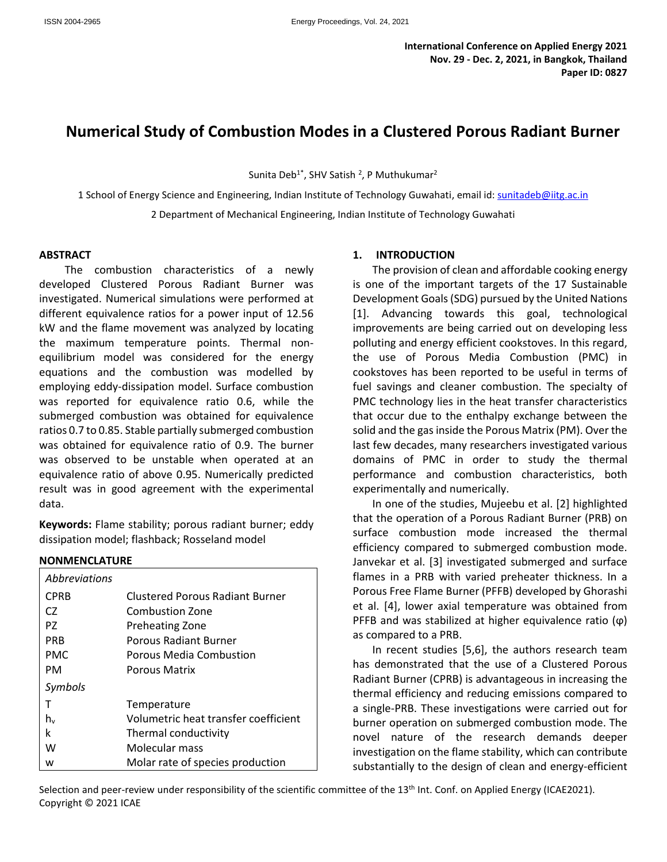# **Numerical Study of Combustion Modes in a Clustered Porous Radiant Burner**

Sunita Deb<sup>1\*</sup>, SHV Satish <sup>2</sup>, P Muthukumar<sup>2</sup>

1 School of Energy Science and Engineering, Indian Institute of Technology Guwahati, email id: [sunitadeb@iitg.ac.in](mailto:sunitadeb@iitg.ac.in) 2 Department of Mechanical Engineering, Indian Institute of Technology Guwahati

#### **ABSTRACT**

The combustion characteristics of a newly developed Clustered Porous Radiant Burner was investigated. Numerical simulations were performed at different equivalence ratios for a power input of 12.56 kW and the flame movement was analyzed by locating the maximum temperature points. Thermal nonequilibrium model was considered for the energy equations and the combustion was modelled by employing eddy-dissipation model. Surface combustion was reported for equivalence ratio 0.6, while the submerged combustion was obtained for equivalence ratios 0.7 to 0.85. Stable partially submerged combustion was obtained for equivalence ratio of 0.9. The burner was observed to be unstable when operated at an equivalence ratio of above 0.95. Numerically predicted result was in good agreement with the experimental data.

**Keywords:** Flame stability; porous radiant burner; eddy dissipation model; flashback; Rosseland model

#### **NONMENCLATURE**

| <i>Abbreviations</i> |                                        |
|----------------------|----------------------------------------|
| CPRB                 | <b>Clustered Porous Radiant Burner</b> |
| CZ.                  | <b>Combustion Zone</b>                 |
| PZ.                  | <b>Preheating Zone</b>                 |
| <b>PRB</b>           | <b>Porous Radiant Burner</b>           |
| PMC.                 | Porous Media Combustion                |
| PM                   | <b>Porous Matrix</b>                   |
| Symbols              |                                        |
|                      | Temperature                            |
| h.,                  | Volumetric heat transfer coefficient   |
| k                    | Thermal conductivity                   |
| w                    | Molecular mass                         |
| w                    | Molar rate of species production       |

#### **1. INTRODUCTION**

The provision of clean and affordable cooking energy is one of the important targets of the 17 Sustainable Development Goals (SDG) pursued by the United Nations [1]. Advancing towards this goal, technological improvements are being carried out on developing less polluting and energy efficient cookstoves. In this regard, the use of Porous Media Combustion (PMC) in cookstoves has been reported to be useful in terms of fuel savings and cleaner combustion. The specialty of PMC technology lies in the heat transfer characteristics that occur due to the enthalpy exchange between the solid and the gas inside the Porous Matrix (PM). Over the last few decades, many researchers investigated various domains of PMC in order to study the thermal performance and combustion characteristics, both experimentally and numerically.

In one of the studies, Mujeebu et al. [2] highlighted that the operation of a Porous Radiant Burner (PRB) on surface combustion mode increased the thermal efficiency compared to submerged combustion mode. Janvekar et al. [3] investigated submerged and surface flames in a PRB with varied preheater thickness. In a Porous Free Flame Burner (PFFB) developed by Ghorashi et al. [4], lower axial temperature was obtained from PFFB and was stabilized at higher equivalence ratio  $(\varphi)$ as compared to a PRB.

In recent studies [5,6], the authors research team has demonstrated that the use of a Clustered Porous Radiant Burner (CPRB) is advantageous in increasing the thermal efficiency and reducing emissions compared to a single-PRB. These investigations were carried out for burner operation on submerged combustion mode. The novel nature of the research demands deeper investigation on the flame stability, which can contribute substantially to the design of clean and energy-efficient

Selection and peer-review under responsibility of the scientific committee of the 13<sup>th</sup> Int. Conf. on Applied Energy (ICAE2021). Copyright © 2021 ICAE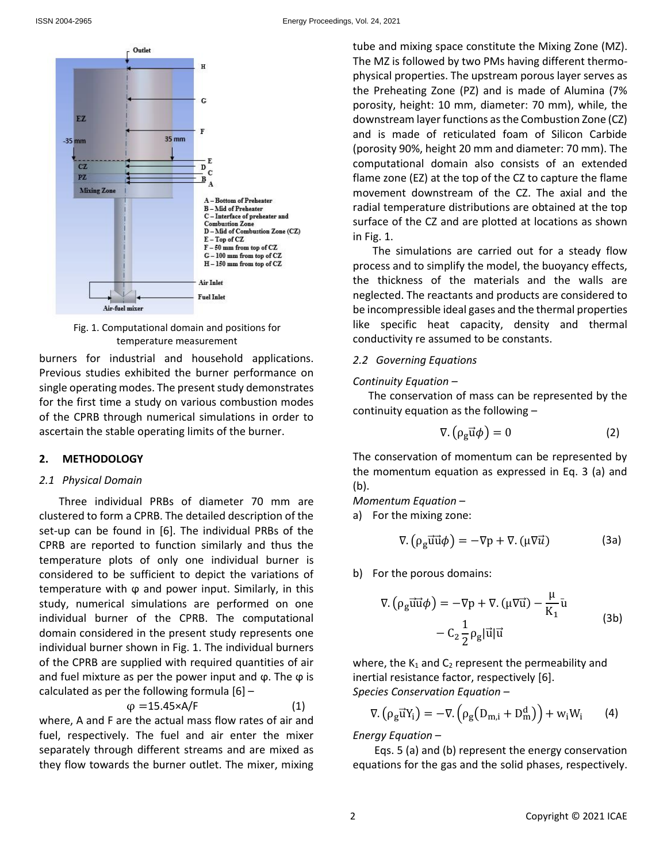

Fig. 1. Computational domain and positions for temperature measurement

burners for industrial and household applications. Previous studies exhibited the burner performance on single operating modes. The present study demonstrates for the first time a study on various combustion modes of the CPRB through numerical simulations in order to ascertain the stable operating limits of the burner.

#### **2. METHODOLOGY**

#### *2.1 Physical Domain*

Three individual PRBs of diameter 70 mm are clustered to form a CPRB. The detailed description of the set-up can be found in [6]. The individual PRBs of the CPRB are reported to function similarly and thus the temperature plots of only one individual burner is considered to be sufficient to depict the variations of temperature with φ and power input. Similarly, in this study, numerical simulations are performed on one individual burner of the CPRB. The computational domain considered in the present study represents one individual burner shown in Fig. 1. The individual burners of the CPRB are supplied with required quantities of air and fuel mixture as per the power input and  $\varphi$ . The  $\varphi$  is calculated as per the following formula [6] –

$$
\varphi = 15.45 \times A/F \tag{1}
$$

where, A and F are the actual mass flow rates of air and fuel, respectively. The fuel and air enter the mixer separately through different streams and are mixed as they flow towards the burner outlet. The mixer, mixing tube and mixing space constitute the Mixing Zone (MZ). The MZ is followed by two PMs having different thermophysical properties. The upstream porous layer serves as the Preheating Zone (PZ) and is made of Alumina (7% porosity, height: 10 mm, diameter: 70 mm), while, the downstream layer functions as the Combustion Zone (CZ) and is made of reticulated foam of Silicon Carbide (porosity 90%, height 20 mm and diameter: 70 mm). The computational domain also consists of an extended flame zone (EZ) at the top of the CZ to capture the flame movement downstream of the CZ. The axial and the radial temperature distributions are obtained at the top surface of the CZ and are plotted at locations as shown in Fig. 1.

The simulations are carried out for a steady flow process and to simplify the model, the buoyancy effects, the thickness of the materials and the walls are neglected. The reactants and products are considered to be incompressible ideal gases and the thermal properties like specific heat capacity, density and thermal conductivity re assumed to be constants.

### *2.2 Governing Equations*

#### *Continuity Equation –*

The conservation of mass can be represented by the continuity equation as the following –

$$
\nabla. (\rho_g \vec{u} \phi) = 0 \tag{2}
$$

The conservation of momentum can be represented by the momentum equation as expressed in Eq. 3 (a) and (b).

*Momentum Equation –*

a) For the mixing zone:

$$
\nabla. (\rho_g \vec{u} \vec{u} \phi) = -\nabla p + \nabla. (\mu \nabla \vec{u})
$$
 (3a)

b) For the porous domains:

$$
\nabla. (\rho_g \vec{u} \vec{u} \phi) = -\nabla p + \nabla. (\mu \nabla \vec{u}) - \frac{\mu}{K_1} \vec{u}
$$
  
- C<sub>2</sub>  $\frac{1}{2} \rho_g |\vec{u}| \vec{u}$  (3b)

where, the  $K_1$  and  $C_2$  represent the permeability and inertial resistance factor, respectively [6]. *Species Conservation Equation –*

$$
\nabla. (\rho_g \vec{u} Y_i) = -\nabla. (\rho_g (D_{m,i} + D_m^d)) + w_i W_i \qquad (4)
$$

*Energy Equation –*

Eqs. 5 (a) and (b) represent the energy conservation equations for the gas and the solid phases, respectively.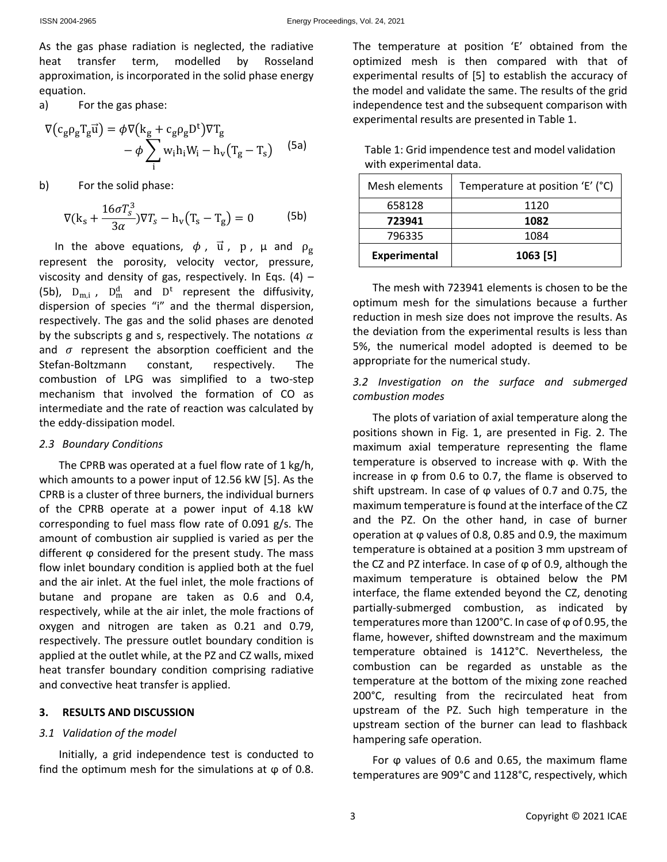As the gas phase radiation is neglected, the radiative heat transfer term, modelled by Rosseland approximation, is incorporated in the solid phase energy equation.

a) For the gas phase:

$$
\nabla (c_g \rho_g T_g \vec{u}) = \phi \nabla (k_g + c_g \rho_g D^t) \nabla T_g
$$
  
- 
$$
\phi \sum_i w_i h_i W_i - h_v (T_g - T_s)
$$
 (5a)

b) For the solid phase:

$$
\nabla(\mathbf{k}_s + \frac{16\sigma T_s^3}{3\alpha})\nabla T_s - \mathbf{h}_v(\mathbf{T}_s - \mathbf{T}_g) = 0
$$
 (5b)

In the above equations,  $\phi$ ,  $\vec{u}$ ,  $p$ ,  $\mu$  and  $\rho_g$ represent the porosity, velocity vector, pressure, viscosity and density of gas, respectively. In Eqs. (4)  $-$ (5b),  $D_{m,i}$ ,  $D_m^d$  and  $D^t$  represent the diffusivity, dispersion of species "i" and the thermal dispersion, respectively. The gas and the solid phases are denoted by the subscripts g and s, respectively. The notations  $\alpha$ and  $\sigma$  represent the absorption coefficient and the Stefan-Boltzmann constant, respectively. The combustion of LPG was simplified to a two-step mechanism that involved the formation of CO as intermediate and the rate of reaction was calculated by the eddy-dissipation model.

### *2.3 Boundary Conditions*

The CPRB was operated at a fuel flow rate of 1 kg/h, which amounts to a power input of 12.56 kW [5]. As the CPRB is a cluster of three burners, the individual burners of the CPRB operate at a power input of 4.18 kW corresponding to fuel mass flow rate of 0.091 g/s. The amount of combustion air supplied is varied as per the different ϕ considered for the present study. The mass flow inlet boundary condition is applied both at the fuel and the air inlet. At the fuel inlet, the mole fractions of butane and propane are taken as 0.6 and 0.4, respectively, while at the air inlet, the mole fractions of oxygen and nitrogen are taken as 0.21 and 0.79, respectively. The pressure outlet boundary condition is applied at the outlet while, at the PZ and CZ walls, mixed heat transfer boundary condition comprising radiative and convective heat transfer is applied.

### **3. RESULTS AND DISCUSSION**

### *3.1 Validation of the model*

Initially, a grid independence test is conducted to find the optimum mesh for the simulations at  $\varphi$  of 0.8.

The temperature at position 'E' obtained from the optimized mesh is then compared with that of experimental results of [5] to establish the accuracy of the model and validate the same. The results of the grid independence test and the subsequent comparison with experimental results are presented in Table 1.

| Table 1: Grid impendence test and model validation |
|----------------------------------------------------|
| with experimental data.                            |

| Mesh elements       | Temperature at position 'E' (°C) |
|---------------------|----------------------------------|
| 658128              | 1120                             |
| 723941              | 1082                             |
| 796335              | 1084                             |
| <b>Experimental</b> | 1063 [5]                         |

The mesh with 723941 elements is chosen to be the optimum mesh for the simulations because a further reduction in mesh size does not improve the results. As the deviation from the experimental results is less than 5%, the numerical model adopted is deemed to be appropriate for the numerical study.

## *3.2 Investigation on the surface and submerged combustion modes*

The plots of variation of axial temperature along the positions shown in Fig. 1, are presented in Fig. 2. The maximum axial temperature representing the flame temperature is observed to increase with ϕ. With the increase in  $\varphi$  from 0.6 to 0.7, the flame is observed to shift upstream. In case of  $\varphi$  values of 0.7 and 0.75, the maximum temperature is found at the interface of the CZ and the PZ. On the other hand, in case of burner operation at ϕ values of 0.8, 0.85 and 0.9, the maximum temperature is obtained at a position 3 mm upstream of the CZ and PZ interface. In case of  $\varphi$  of 0.9, although the maximum temperature is obtained below the PM interface, the flame extended beyond the CZ, denoting partially-submerged combustion, as indicated by temperatures more than 1200°C. In case of φ of 0.95, the flame, however, shifted downstream and the maximum temperature obtained is 1412°C. Nevertheless, the combustion can be regarded as unstable as the temperature at the bottom of the mixing zone reached 200°C, resulting from the recirculated heat from upstream of the PZ. Such high temperature in the upstream section of the burner can lead to flashback hampering safe operation.

For  $\varphi$  values of 0.6 and 0.65, the maximum flame temperatures are 909°C and 1128°C, respectively, which